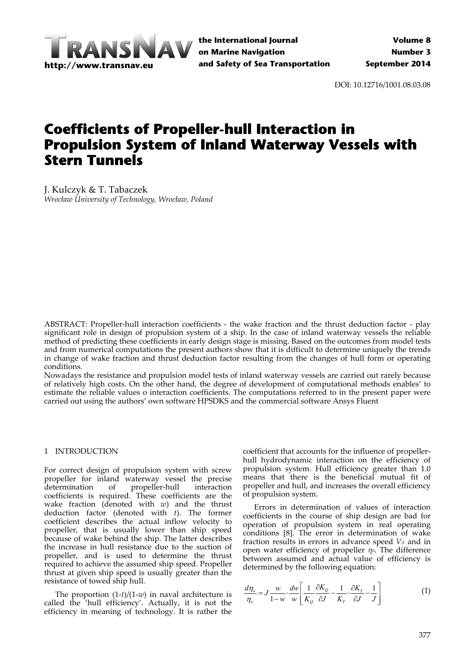

DOI: 10.12716/1001.08.03.08

# **Coefficients of Propeller-hull Interaction in Propulsion System of Inland Waterway Vessels with Stern Tunnels**

J. Kulczyk & T. Tabaczek *Wrocław University of Technology, Wrocław, Poland*

ABSTRACT: Propeller-hull interaction coefficients - the wake fraction and the thrust deduction factor - play significant role in design of propulsion system of a ship. In the case of inland waterway vessels the reliable method of predicting these coefficients in early design stage is missing. Based on the outcomes from model tests and from numerical computations the present authors show that it is difficult to determine uniquely the trends in change of wake fraction and thrust deduction factor resulting from the changes of hull form or operating conditions.

Nowadays the resistance and propulsion model tests of inland waterway vessels are carried out rarely because of relatively high costs. On the other hand, the degree of development of computational methods enables' to estimate the reliable values o interaction coefficients. The computations referred to in the present paper were carried out using the authors' own software HPSDKS and the commercial software Ansys Fluent

# 1 INTRODUCTION

For correct design of propulsion system with screw propeller for inland waterway vessel the precise determination of propeller-hull interaction coefficients is required. These coefficients are the wake fraction (denoted with *w*) and the thrust deduction factor (denoted with *t*). The former coefficient describes the actual inflow velocity to propeller, that is usually lower than ship speed because of wake behind the ship. The latter describes the increase in hull resistance due to the suction of propeller, and is used to determine the thrust required to achieve the assumed ship speed. Propeller thrust at given ship speed is usually greater than the resistance of towed ship hull.

The proportion (1‐*t*)/(1‐*w*) in naval architecture is called the 'hull efficiency'. Actually, it is not the efficiency in meaning of technology. It is rather the

coefficient that accounts for the influence of propeller‐ hull hydrodynamic interaction on the efficiency of propulsion system. Hull efficiency greater than 1.0 means that there is the beneficial mutual fit of propeller and hull, and increases the overall efficiency of propulsion system.

Errors in determination of values of interaction coefficients in the course of ship design are bad for operation of propulsion system in real operating conditions [8]. The error in determination of wake fraction results in errors in advance speed *VA* and in open water efficiency of propeller *η0*. The difference between assumed and actual value of efficiency is determined by the following equation:

$$
\frac{d\eta_o}{\eta_o} = J \frac{w}{1 - w} \cdot \frac{dw}{w} \left[ \frac{1}{K_Q} \frac{\partial K_Q}{\partial J} - \frac{1}{K_T} \cdot \frac{\partial K_T}{\partial J} - \frac{1}{J} \right]
$$
(1)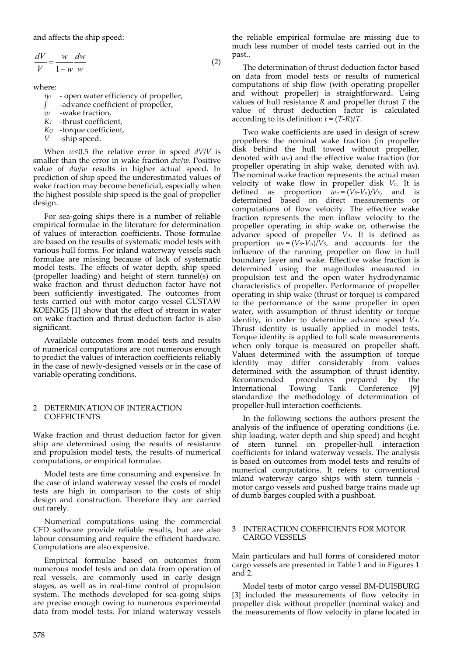and affects the ship speed:

$$
\frac{dV}{V} = \frac{w}{1 - w} \frac{dw}{w}
$$
 (2)

where:

- *η*<sup>0</sup> open water efficiency of propeller,
- -advance coefficient of propeller,
- *w* ‐wake fraction,
- *KT* ‐thrust coefficient,
- *KQ* ‐torque coefficient,
- *V* ‐ship speed.

When *w*<0.5 the relative error in speed *dV*/*V* is smaller than the error in wake fraction *dw*/*w*. Positive value of *dw*/*w* results in higher actual speed. In prediction of ship speed the underestimated values of wake fraction may become beneficial, especially when the highest possible ship speed is the goal of propeller design.

For sea‐going ships there is a number of reliable empirical formulae in the literature for determination of values of interaction coefficients. Those formulae are based on the results of systematic model tests with various hull forms. For inland waterway vessels such formulae are missing because of lack of systematic model tests. The effects of water depth, ship speed (propeller loading) and height of stern tunnel(s) on wake fraction and thrust deduction factor have not been sufficiently investigated. The outcomes from tests carried out with motor cargo vessel GUSTAW KOENIGS [1] show that the effect of stream in water on wake fraction and thrust deduction factor is also significant.

Available outcomes from model tests and results of numerical computations are not numerous enough to predict the values of interaction coefficients reliably in the case of newly‐designed vessels or in the case of variable operating conditions.

#### 2 DETERMINATION OF INTERACTION **COEFFICIENTS**

Wake fraction and thrust deduction factor for given ship are determined using the results of resistance and propulsion model tests, the results of numerical computations, or empirical formulae.

Model tests are time consuming and expensive. In the case of inland waterway vessel the costs of model tests are high in comparison to the costs of ship design and construction. Therefore they are carried out rarely.

Numerical computations using the commercial CFD software provide reliable results, but are also labour consuming and require the efficient hardware. Computations are also expensive.

Empirical formulae based on outcomes from numerous model tests and on data from operation of real vessels, are commonly used in early design stages, as well as in real‐time control of propulsion system. The methods developed for sea‐going ships are precise enough owing to numerous experimental data from model tests. For inland waterway vessels

the reliable empirical formulae are missing due to much less number of model tests carried out in the past..

The determination of thrust deduction factor based on data from model tests or results of numerical computations of ship flow (with operating propeller and without propeller) is straightforward. Using values of hull resistance *R* and propeller thrust *T* the value of thrust deduction factor is calculated according to its definition: *t* = (*T*‐*R*)/*T*.

Two wake coefficients are used in design of screw propellers: the nominal wake fraction (in propeller disk behind the hull towed without propeller, denoted with *wn*) and the effective wake fraction (for propeller operating in ship wake, denoted with *we*). The nominal wake fraction represents the actual mean velocity of wake flow in propeller disk *Vn*. It is defined as proportion  $\vec{w}_n = (V_s - V_n)/V_s$ , and is determined based on direct measurements or computations of flow velocity. The effective wake fraction represents the men inflow velocity to the propeller operating in ship wake or, otherwise the advance speed of propeller *VA*. It is defined as proportion *we* = (*VS*‐*VA*)/*VS*, and accounts for the influence of the running propeller on flow in hull boundary layer and wake. Effective wake fraction is determined using the magnitudes measured in propulsion test and the open water hydrodynamic characteristics of propeller. Performance of propeller operating in ship wake (thrust or torque) is compared to the performance of the same propeller in open water, with assumption of thrust identity or torque identity, in order to determine advance speed *VA*. Thrust identity is usually applied in model tests. Torque identity is applied to full scale measurements when only torque is measured on propeller shaft. Values determined with the assumption of torque identity may differ considerably from values determined with the assumption of thrust identity.<br>Recommended procedures prepared by the Recommended procedures prepared by the<br>International Towing Tank Conference [9] International Towing Tank Conference [9] standardize the methodology of determination of propeller‐hull interaction coefficients.

In the following sections the authors present the analysis of the influence of operating conditions (i.e. ship loading, water depth and ship speed) and height of stern tunnel on propeller‐hull interaction coefficients for inland waterway vessels. The analysis is based on outcomes from model tests and results of numerical computations. It refers to conventional inland waterway cargo ships with stern tunnels ‐ motor cargo vessels and pushed barge trains made up of dumb barges coupled with a pushboat.

#### 3 INTERACTION COEFFICIENTS FOR MOTOR CARGO VESSELS

Main particulars and hull forms of considered motor cargo vessels are presented in Table 1 and in Figures 1 and 2.

Model tests of motor cargo vessel BM‐DUISBURG [3] included the measurements of flow velocity in propeller disk without propeller (nominal wake) and the measurements of flow velocity in plane located in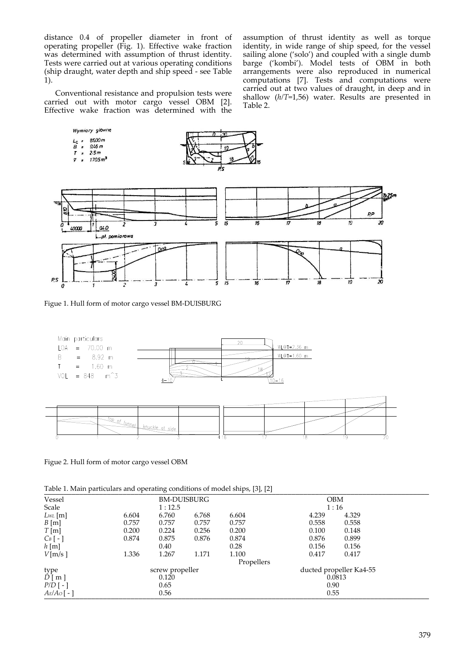distance 0.4 of propeller diameter in front of operating propeller (Fig. 1). Effective wake fraction was determined with assumption of thrust identity. Tests were carried out at various operating conditions (ship draught, water depth and ship speed ‐ see Table 1).

Conventional resistance and propulsion tests were carried out with motor cargo vessel OBM [2]. Effective wake fraction was determined with the

assumption of thrust identity as well as torque identity, in wide range of ship speed, for the vessel sailing alone ('solo') and coupled with a single dumb barge ('kombi'). Model tests of OBM in both arrangements were also reproduced in numerical computations [7]. Tests and computations were carried out at two values of draught, in deep and in shallow (h/T=1,56) water. Results are presented in Table 2.



Figue 1. Hull form of motor cargo vessel BM‐DUISBURG



Figue 2. Hull form of motor cargo vessel OBM

| Table 1. Main particulars and operating conditions of model ships, [3], [2] |  |  |  |
|-----------------------------------------------------------------------------|--|--|--|
|                                                                             |  |  |  |

|                                                     |       |                 |                    | Table 1. Main particulars and operating conditions of model ships, [3], [2] |       |                         |  |
|-----------------------------------------------------|-------|-----------------|--------------------|-----------------------------------------------------------------------------|-------|-------------------------|--|
| Vessel                                              |       |                 | <b>BM-DUISBURG</b> |                                                                             |       | <b>OBM</b>              |  |
| Scale                                               |       | 1:12.5          |                    |                                                                             |       | 1:16                    |  |
| $L_{WL}$ [m]                                        | 6.604 | 6.760           | 6.768              | 6.604                                                                       | 4.239 | 4.329                   |  |
| $B$ [m]                                             | 0.757 | 0.757           | 0.757              | 0.757                                                                       | 0.558 | 0.558                   |  |
| $T$ [m]                                             | 0.200 | 0.224           | 0.256              | 0.200                                                                       | 0.100 | 0.148                   |  |
| $C_B$ [-]                                           | 0.874 | 0.875           | 0.876              | 0.874                                                                       | 0.876 | 0.899                   |  |
| $h$ [m]                                             |       | 0.40            |                    | 0.28                                                                        | 0.156 | 0.156                   |  |
| $V$ [m/s]                                           | 1.336 | 1.267           | 1.171              | 1.100                                                                       | 0.417 | 0.417                   |  |
|                                                     |       |                 |                    | Propellers                                                                  |       |                         |  |
| type                                                |       | screw propeller |                    |                                                                             |       | ducted propeller Ka4-55 |  |
| $\tilde{D}$ [m]                                     |       | 0.120           |                    |                                                                             |       | 0.0813                  |  |
| $P/D$ [ - ]                                         |       | 0.65            |                    |                                                                             | 0.90  |                         |  |
| $A$ <sub>E</sub> $A$ <sub>O</sub> $\lceil - \rceil$ |       | 0.56            |                    |                                                                             | 0.55  |                         |  |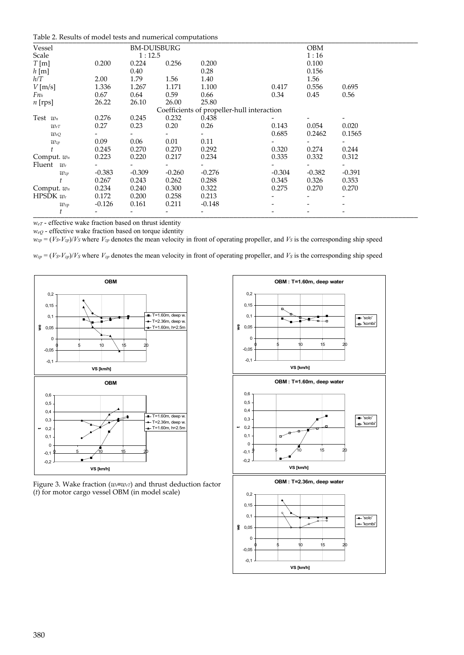| Table 2. Results of model tests and numerical computations |          |                    |          |                                            |          |            |          |  |
|------------------------------------------------------------|----------|--------------------|----------|--------------------------------------------|----------|------------|----------|--|
| Vessel                                                     |          | <b>BM-DUISBURG</b> |          |                                            |          | <b>OBM</b> |          |  |
| Scale                                                      |          | 1:12.5             |          |                                            |          | 1:16       |          |  |
| $T$ [m]                                                    | 0.200    | 0.224              | 0.256    | 0.200                                      |          | 0.100      |          |  |
| $h$ [m]                                                    |          | 0.40               |          | 0.28                                       |          | 0.156      |          |  |
| h/T                                                        | 2.00     | 1.79               | 1.56     | 1.40                                       |          | 1.56       |          |  |
| $V$ [m/s]                                                  | 1.336    | 1.267              | 1.171    | 1.100                                      | 0.417    | 0.556      | 0.695    |  |
| $F$ nh                                                     | 0.67     | 0.64               | 0.59     | 0.66                                       | 0.34     | 0.45       | 0.56     |  |
| $n$ [rps]                                                  | 26.22    | 26.10              | 26.00    | 25.80                                      |          |            |          |  |
|                                                            |          |                    |          | Coefficients of propeller-hull interaction |          |            |          |  |
| Test $w_n$                                                 | 0.276    | 0.245              | 0.232    | 0.438                                      |          |            |          |  |
| Wer                                                        | 0.27     | 0.23               | 0.20     | 0.26                                       | 0.143    | 0.054      | 0.020    |  |
| $\mathcal{U}$ e $\mathcal{Q}$                              |          |                    |          |                                            | 0.685    | 0.2462     | 0.1565   |  |
| $w_{zp}$                                                   | 0.09     | 0.06               | 0.01     | 0.11                                       |          |            |          |  |
|                                                            | 0.245    | 0.270              | 0.270    | 0.292                                      | 0.320    | 0.274      | 0.244    |  |
| Comput. $w_n$                                              | 0.223    | 0.220              | 0.217    | 0.234                                      | 0.335    | 0.332      | 0.312    |  |
| Fluent we                                                  |          |                    |          |                                            |          |            |          |  |
| $w_{zp}$                                                   | $-0.383$ | $-0.309$           | $-0.260$ | $-0.276$                                   | $-0.304$ | $-0.382$   | $-0.391$ |  |
|                                                            | 0.267    | 0.243              | 0.262    | 0.288                                      | 0.345    | 0.326      | 0.353    |  |
| Comput. $w_n$                                              | 0.234    | 0.240              | 0.300    | 0.322                                      | 0.275    | 0.270      | 0.270    |  |
| $HPSDK$ $we$                                               | 0.172    | 0.200              | 0.258    | 0.213                                      |          |            |          |  |
| $w_{zp}$                                                   | $-0.126$ | 0.161              | 0.211    | $-0.148$                                   |          |            |          |  |
|                                                            |          |                    |          |                                            |          |            |          |  |

*weT* - effective wake fraction based on thrust identity

*weQ* - effective wake fraction based on torque identity

 $w_{zp} = (V_S - V_{zp})/V_S$  where  $V_{zp}$  denotes the mean velocity in front of operating propeller, and  $V_S$  is the corresponding ship speed

 $w_{zp} = (V_S - V_{zp})/V_S$  where  $V_{zp}$  denotes the mean velocity in front of operating propeller, and  $V_S$  is the corresponding ship speed



Figure 3. Wake fraction (*we*≡*weT*) and thrust deduction factor (*t*) for motor cargo vessel OBM (in model scale)

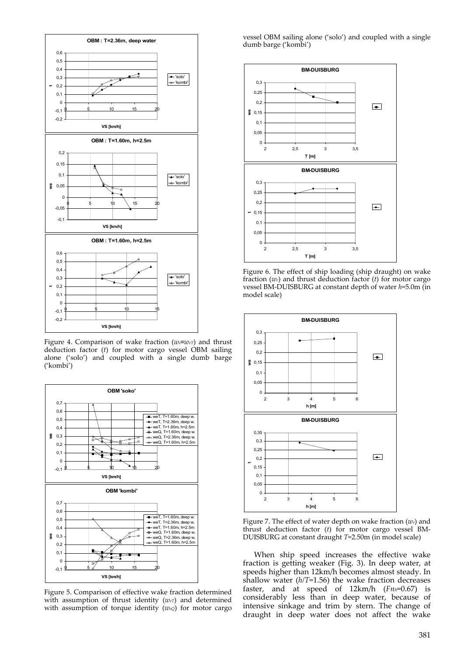

Figure 4. Comparison of wake fraction (*we*≡*weT*) and thrust deduction factor (*t*) for motor cargo vessel OBM sailing alone ('solo') and coupled with a single dumb barge ('kombi')



Figure 5. Comparison of effective wake fraction determined with assumption of thrust identity (*weT*) and determined with assumption of torque identity (*weQ*) for motor cargo

vessel OBM sailing alone ('solo') and coupled with a single dumb barge ('kombi')



Figure 6. The effect of ship loading (ship draught) on wake fraction (*we*) and thrust deduction factor (*t*) for motor cargo vessel BM‐DUISBURG at constant depth of water *h*=5.0m (in model scale)



Figure 7. The effect of water depth on wake fraction (*we*) and thrust deduction factor (*t*) for motor cargo vessel BM‐ DUISBURG at constant draught *T*=2.50m (in model scale)

When ship speed increases the effective wake fraction is getting weaker (Fig. 3). In deep water, at speeds higher than 12km/h becomes almost steady. In shallow water (*h/T*=1.56) the wake fraction decreases faster, and at speed of 12km/h (*Fnh*=0.67) is considerably less than in deep water, because of intensive sinkage and trim by stern. The change of draught in deep water does not affect the wake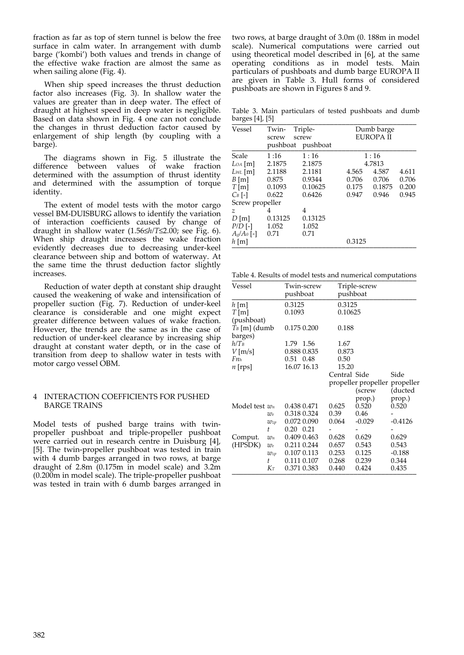fraction as far as top of stern tunnel is below the free surface in calm water. In arrangement with dumb barge ('kombi') both values and trends in change of the effective wake fraction are almost the same as when sailing alone (Fig. 4).

When ship speed increases the thrust deduction factor also increases (Fig. 3). In shallow water the values are greater than in deep water. The effect of draught at highest speed in deep water is negligible. Based on data shown in Fig. 4 one can not conclude the changes in thrust deduction factor caused by enlargement of ship length (by coupling with a barge).

The diagrams shown in Fig. 5 illustrate the difference between values of wake fraction determined with the assumption of thrust identity and determined with the assumption of torque identity.

The extent of model tests with the motor cargo vessel BM‐DUISBURG allows to identify the variation of interaction coefficients caused by change of draught in shallow water (1.56≤*h/T*≤2.00; see Fig. 6). When ship draught increases the wake fraction evidently decreases due to decreasing under‐keel clearance between ship and bottom of waterway. At the same time the thrust deduction factor slightly increases.

Reduction of water depth at constant ship draught caused the weakening of wake and intensification of propeller suction (Fig. 7). Reduction of under‐keel clearance is considerable and one might expect greater difference between values of wake fraction. However, the trends are the same as in the case of reduction of under‐keel clearance by increasing ship draught at constant water depth, or in the case of transition from deep to shallow water in tests with motor cargo vessel OBM.

## 4 INTERACTION COEFFICIENTS FOR PUSHED BARGE TRAINS

Model tests of pushed barge trains with twin‐ propeller pushboat and triple‐propeller pushboat were carried out in research centre in Duisburg [4], [5]. The twin‐propeller pushboat was tested in train with 4 dumb barges arranged in two rows, at barge draught of 2.8m (0.175m in model scale) and 3.2m (0.200m in model scale). The triple‐propeller pushboat was tested in train with 6 dumb barges arranged in two rows, at barge draught of 3.0m (0. 188m in model scale). Numerical computations were carried out using theoretical model described in [6], at the same operating conditions as in model tests. Main particulars of pushboats and dumb barge EUROPA II are given in Table 3. Hull forms of considered pushboats are shown in Figures 8 and 9.

Table 3. Main particulars of tested pushboats and dumb barges  $[4]$ ,  $[5]$ 

| Vessel            | Twin-   | Triple-           | Dumb barge |                  |       |  |
|-------------------|---------|-------------------|------------|------------------|-------|--|
|                   | screw   | screw             |            | <b>EUROPA II</b> |       |  |
|                   |         | pushboat pushboat |            |                  |       |  |
| Scale             | 1:16    | 1:16              |            | 1:16             |       |  |
| $LoA$ [m]         | 2.1875  | 2.1875            |            | 4.7813           |       |  |
| $LwL$ [m]         | 2.1188  | 2.1181            | 4.565      | 4.587            | 4.611 |  |
| $B$ [m]           | 0.875   | 0.9344            | 0.706      | 0.706            | 0.706 |  |
| $T$ [m]           | 0.1093  | 0.10625           | 0.175      | 0.1875           | 0.200 |  |
| $C_B$ [-]         | 0.622   | 0.6426            | 0.947      | 0.946            | 0.945 |  |
| Screw propeller   |         |                   |            |                  |       |  |
| z                 | 4       | 4                 |            |                  |       |  |
| $D$ [m]           | 0.13125 | 0.13125           |            |                  |       |  |
| $P/D$ [-]         | 1.052   | 1.052             |            |                  |       |  |
| $A_{g}/A_{0}$ [-] | 0.71    | 0.71              |            |                  |       |  |
| $h$ [m]           |         |                   | 0.3125     |                  |       |  |

Table 4. Results of model tests and numerical computations

| Vessel           |                 | Twin-screw<br>pushboat | Triple-screw<br>pushboat |                               |           |
|------------------|-----------------|------------------------|--------------------------|-------------------------------|-----------|
| $h$ [m]          |                 | 0.3125                 | 0.3125                   |                               |           |
| $T$ [m]          |                 | 0.1093                 | 0.10625                  |                               |           |
| (pushboat)       |                 |                        |                          |                               |           |
| $T_B$ [m] (dumb  |                 | 0.175 0.200            | 0.188                    |                               |           |
| barges)          |                 |                        |                          |                               |           |
| $h/T_B$          |                 | 1.79<br>1.56           | 1.67                     |                               |           |
| $V$ [m/s]        |                 | 0.888 0.835            | 0.873                    |                               |           |
| Fnn              |                 |                        |                          | 0.50                          |           |
| $n$ [rps]        |                 | 16.07 16.13            | 15.20                    |                               |           |
|                  |                 |                        | Central Side             |                               | Side      |
|                  |                 |                        |                          | propeller propeller propeller |           |
|                  |                 |                        |                          | (screw                        | (ducted   |
|                  |                 |                        |                          | prop.)                        | prop.)    |
| Model test $w_n$ |                 | 0.438 0.471            | 0.625                    | 0.520                         | 0.520     |
|                  | $\mathcal{W}$ e | 0.318 0.324            | 0.39                     | 0.46                          |           |
|                  | $\mathcal{W}zp$ | 0.072 0.090            | 0.064                    | $-0.029$                      | $-0.4126$ |
|                  | t               | $0.20 \quad 0.21$      |                          |                               |           |
| Comput.          | $w_n$           | 0.409 0.463            | 0.628                    | 0.629                         | 0.629     |
| (HPSDK)          | $\mathcal{W}$ e | 0.211 0.244            | 0.657                    | 0.543                         | 0.543     |
|                  | $\mathcal{W}zp$ | 0.107 0.113            | 0.253                    | 0.125                         | $-0.188$  |
|                  | t.              | 0.111 0.107            | 0.268                    | 0.239                         | 0.344     |
|                  | $K_T$           | 0.371 0.383            | 0.440                    | 0.424                         | 0.435     |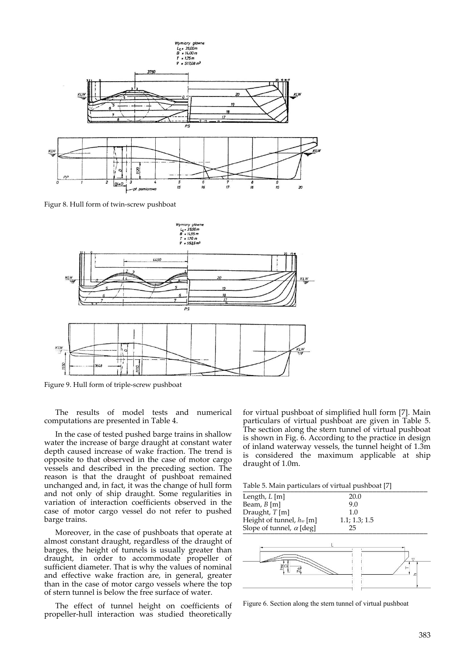

Figur 8. Hull form of twin‐screw pushboat



Figure 9. Hull form of triple‐screw pushboat

The results of model tests and numerical computations are presented in Table 4.

In the case of tested pushed barge trains in shallow water the increase of barge draught at constant water depth caused increase of wake fraction. The trend is opposite to that observed in the case of motor cargo vessels and described in the preceding section. The reason is that the draught of pushboat remained unchanged and, in fact, it was the change of hull form and not only of ship draught. Some regularities in variation of interaction coefficients observed in the case of motor cargo vessel do not refer to pushed barge trains.

Moreover, in the case of pushboats that operate at almost constant draught, regardless of the draught of barges, the height of tunnels is usually greater than draught, in order to accommodate propeller of sufficient diameter. That is why the values of nominal and effective wake fraction are, in general, greater than in the case of motor cargo vessels where the top of stern tunnel is below the free surface of water.

The effect of tunnel height on coefficients of propeller‐hull interaction was studied theoretically

for virtual pushboat of simplified hull form [7]. Main particulars of virtual pushboat are given in Table 5. The section along the stern tunnel of virtual pushboat is shown in Fig. 6. According to the practice in design of inland waterway vessels, the tunnel height of 1.3m is considered the maximum applicable at ship draught of 1.0m.

Table 5. Main particulars of virtual pushboat [7]

| Length, $L$ [m]                 | 20.0          |  |
|---------------------------------|---------------|--|
| Beam, $B$ [m]                   | 9.0           |  |
| Draught, T[m]                   | 1.0           |  |
| Height of tunnel, $h_w$ [m]     | 1.1; 1.3; 1.5 |  |
| Slope of tunnel, $\alpha$ [deg] | 25            |  |
|                                 |               |  |



Figure 6. Section along the stern tunnel of virtual pushboat